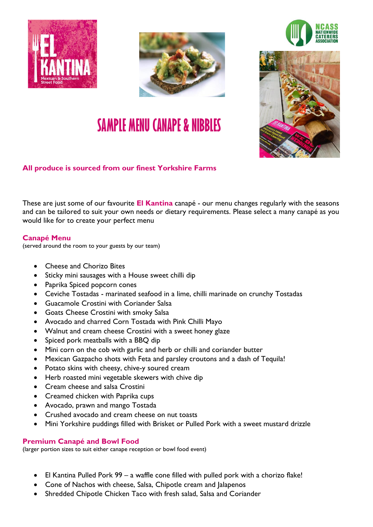









## **All produce is sourced from our finest Yorkshire Farms**

These are just some of our favourite **El Kantina** canapé - our menu changes regularly with the seasons and can be tailored to suit your own needs or dietary requirements. Please select a many canapé as you would like for to create your perfect menu

## **Canapé Menu**

(served around the room to your guests by our team)

- Cheese and Chorizo Bites
- Sticky mini sausages with a House sweet chilli dip
- Paprika Spiced popcorn cones
- Ceviche Tostadas marinated seafood in a lime, chilli marinade on crunchy Tostadas
- Guacamole Crostini with Coriander Salsa
- Goats Cheese Crostini with smoky Salsa
- Avocado and charred Corn Tostada with Pink Chilli Mayo
- Walnut and cream cheese Crostini with a sweet honey glaze
- Spiced pork meatballs with a BBQ dip
- Mini corn on the cob with garlic and herb or chilli and coriander butter
- Mexican Gazpacho shots with Feta and parsley croutons and a dash of Tequila!
- Potato skins with cheesy, chive-y soured cream
- Herb roasted mini vegetable skewers with chive dip
- Cream cheese and salsa Crostini
- Creamed chicken with Paprika cups
- Avocado, prawn and mango Tostada
- Crushed avocado and cream cheese on nut toasts
- Mini Yorkshire puddings filled with Brisket or Pulled Pork with a sweet mustard drizzle

## **Premium Canapé and Bowl Food**

(larger portion sizes to suit either canape reception or bowl food event)

- El Kantina Pulled Pork 99 a waffle cone filled with pulled pork with a chorizo flake!
- Cone of Nachos with cheese, Salsa, Chipotle cream and Jalapenos
- Shredded Chipotle Chicken Taco with fresh salad, Salsa and Coriander